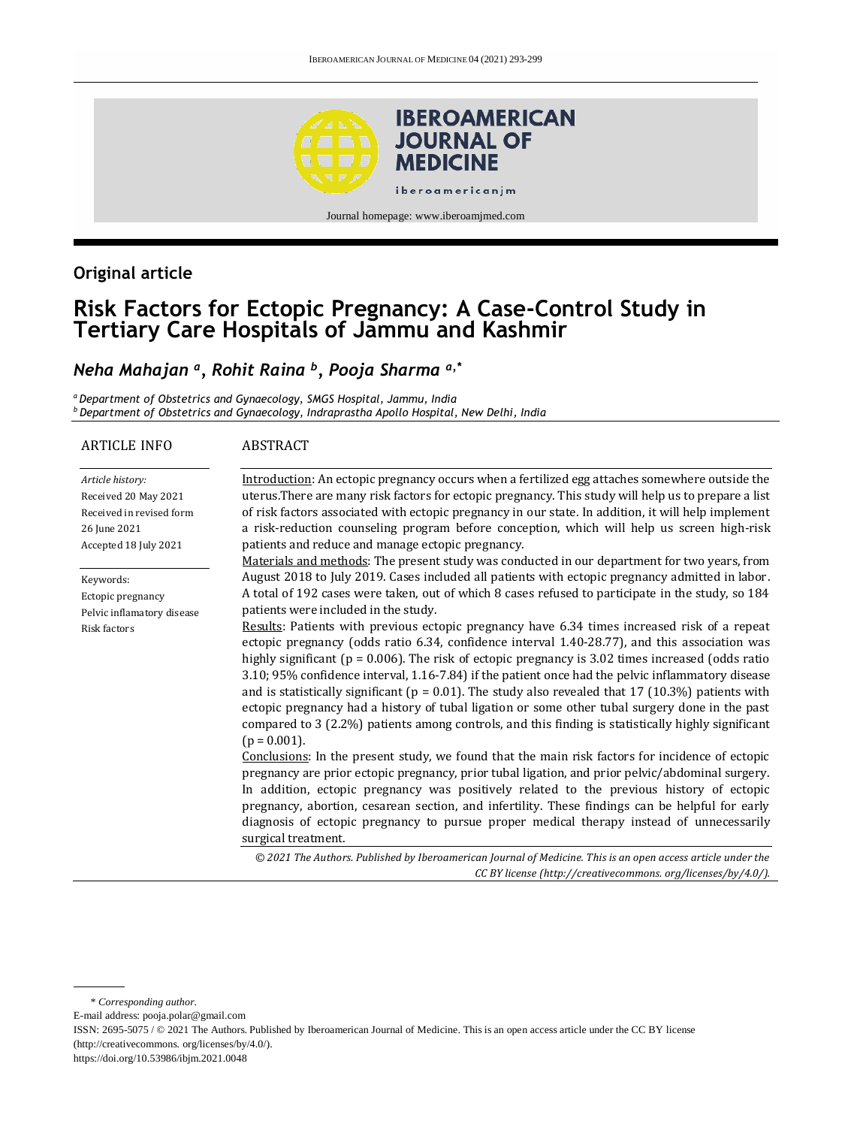

Journal homepage[: www.iberoamjmed.com](www.iberoamjmed.com)

# **Original article**

# **Risk Factors for Ectopic Pregnancy: A Case-Control Study in Tertiary Care Hospitals of Jammu and Kashmir**

# *Neha Mahajan <sup>a</sup> , Rohit Raina <sup>b</sup> , Pooja Sharma a,\**

*<sup>a</sup>Department of Obstetrics and Gynaecology, SMGS Hospital, Jammu, India <sup>b</sup> Department of Obstetrics and Gynaecology, Indraprastha Apollo Hospital, New Delhi, India*

#### ARTICLE INFO *Article history:* Received 20 May 2021 Received in revised form 26 June 2021 Accepted 18 July 2021 Keywords: Ectopic pregnancy Pelvic inflamatory disease Risk factors ABSTRACT Introduction: An ectopic pregnancy occurs when a fertilized egg attaches somewhere outside the uterus.There are many risk factors for ectopic pregnancy. This study will help us to prepare a list of risk factors associated with ectopic pregnancy in our state. In addition, it will help implement a risk-reduction counseling program before conception, which will help us screen high-risk patients and reduce and manage ectopic pregnancy. Materials and methods: The present study was conducted in our department for two years, from August 2018 to July 2019. Cases included all patients with ectopic pregnancy admitted in labor. A total of 192 cases were taken, out of which 8 cases refused to participate in the study, so 184 patients were included in the study. Results: Patients with previous ectopic pregnancy have 6.34 times increased risk of a repeat ectopic pregnancy (odds ratio 6.34, confidence interval 1.40-28.77), and this association was highly significant (p = 0.006). The risk of ectopic pregnancy is 3.02 times increased (odds ratio 3.10; 95% confidence interval, 1.16-7.84) if the patient once had the pelvic inflammatory disease and is statistically significant ( $p = 0.01$ ). The study also revealed that 17 (10.3%) patients with ectopic pregnancy had a history of tubal ligation or some other tubal surgery done in the past compared to 3 (2.2%) patients among controls, and this finding is statistically highly significant  $(p = 0.001)$ . Conclusions: In the present study, we found that the main risk factors for incidence of ectopic pregnancy are prior ectopic pregnancy, prior tubal ligation, and prior pelvic/abdominal surgery. In addition, ectopic pregnancy was positively related to the previous history of ectopic pregnancy, abortion, cesarean section, and infertility. These findings can be helpful for early diagnosis of ectopic pregnancy to pursue proper medical therapy instead of unnecessarily surgical treatment. *© 2021 The Authors. Published by Iberoamerican Journal of Medicine. This is an open access article under the CC BY license (http:/[/creativecommons. org/licenses/by/4.0/\)](https://creativecommons.org/licenses/by/4.0/).*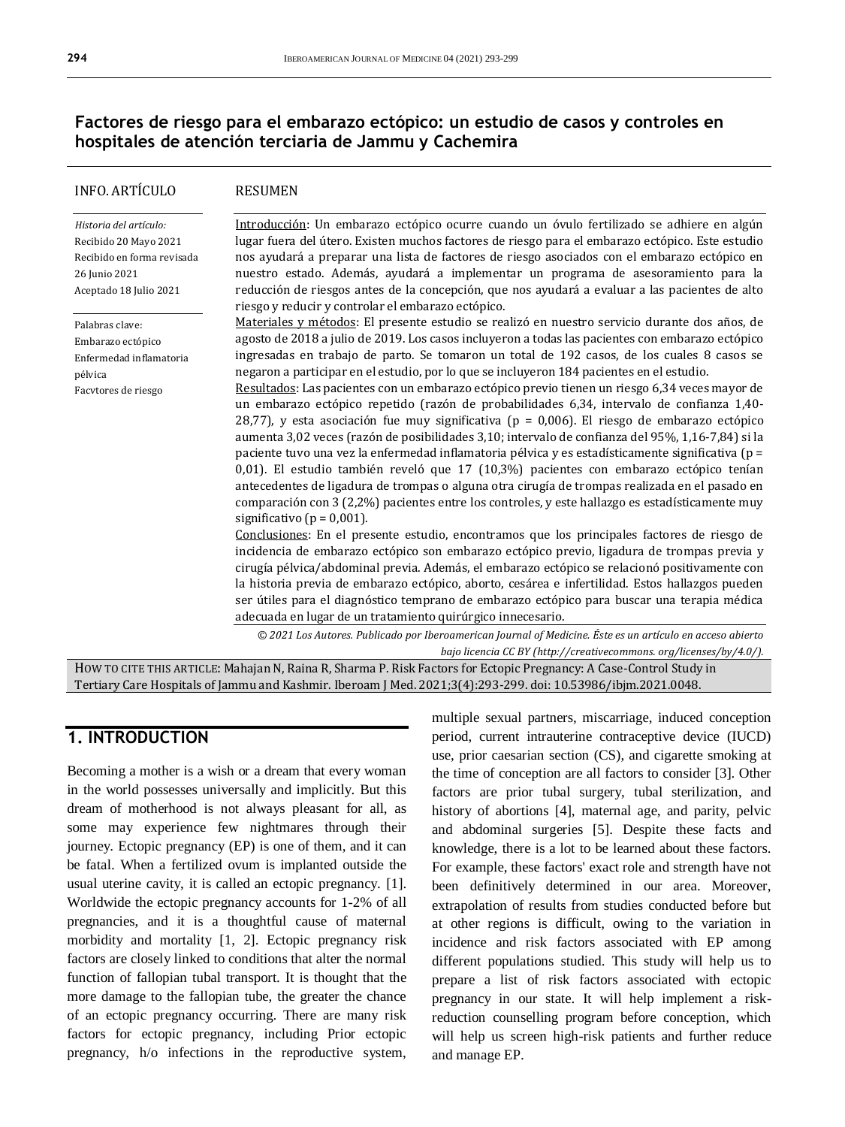### **Factores de riesgo para el embarazo ectópico: un estudio de casos y controles en hospitales de atención terciaria de Jammu y Cachemira**

| INFO. ARTICULO                                                                                                           | <b>RESUMEN</b>                                                                                                                                                                                                                                                                                                                                                                                                                                                                                                                                                                                                                                                                                                                                                                                                                                                                                                                                                                                                                                                                                                                                                                                                                                                                                                                                                                                                                                                                                                                                                                                                                                                                                                                               |  |
|--------------------------------------------------------------------------------------------------------------------------|----------------------------------------------------------------------------------------------------------------------------------------------------------------------------------------------------------------------------------------------------------------------------------------------------------------------------------------------------------------------------------------------------------------------------------------------------------------------------------------------------------------------------------------------------------------------------------------------------------------------------------------------------------------------------------------------------------------------------------------------------------------------------------------------------------------------------------------------------------------------------------------------------------------------------------------------------------------------------------------------------------------------------------------------------------------------------------------------------------------------------------------------------------------------------------------------------------------------------------------------------------------------------------------------------------------------------------------------------------------------------------------------------------------------------------------------------------------------------------------------------------------------------------------------------------------------------------------------------------------------------------------------------------------------------------------------------------------------------------------------|--|
| Historia del artículo:<br>Recibido 20 Mayo 2021<br>Recibido en forma revisada<br>26 Junio 2021<br>Aceptado 18 Julio 2021 | Introducción: Un embarazo ectópico ocurre cuando un óvulo fertilizado se adhiere en algún<br>lugar fuera del útero. Existen muchos factores de riesgo para el embarazo ectópico. Este estudio<br>nos ayudará a preparar una lista de factores de riesgo asociados con el embarazo ectópico en<br>nuestro estado. Además, ayudará a implementar un programa de asesoramiento para la<br>reducción de riesgos antes de la concepción, que nos ayudará a evaluar a las pacientes de alto<br>riesgo y reducir y controlar el embarazo ectópico.                                                                                                                                                                                                                                                                                                                                                                                                                                                                                                                                                                                                                                                                                                                                                                                                                                                                                                                                                                                                                                                                                                                                                                                                  |  |
| Palabras clave:<br>Embarazo ectópico<br>Enfermedad inflamatoria<br>pélvica<br>Facvtores de riesgo                        | Materiales y métodos: El presente estudio se realizó en nuestro servicio durante dos años, de<br>agosto de 2018 a julio de 2019. Los casos incluyeron a todas las pacientes con embarazo ectópico<br>ingresadas en trabajo de parto. Se tomaron un total de 192 casos, de los cuales 8 casos se<br>negaron a participar en el estudio, por lo que se incluyeron 184 pacientes en el estudio.<br>Resultados: Las pacientes con un embarazo ectópico previo tienen un riesgo 6,34 veces mayor de<br>un embarazo ectópico repetido (razón de probabilidades 6,34, intervalo de confianza 1,40-<br>28,77), y esta asociación fue muy significativa ( $p = 0.006$ ). El riesgo de embarazo ectópico<br>aumenta 3,02 veces (razón de posibilidades 3,10; intervalo de confianza del 95%, 1,16-7,84) si la<br>paciente tuvo una vez la enfermedad inflamatoria pélvica y es estadísticamente significativa (p =<br>$0,01$ ). El estudio también reveló que 17 (10,3%) pacientes con embarazo ectópico tenían<br>antecedentes de ligadura de trompas o alguna otra cirugía de trompas realizada en el pasado en<br>comparación con 3 (2,2%) pacientes entre los controles, y este hallazgo es estadísticamente muy<br>significativo ( $p = 0.001$ ).<br>Conclusiones: En el presente estudio, encontramos que los principales factores de riesgo de<br>incidencia de embarazo ectópico son embarazo ectópico previo, ligadura de trompas previa y<br>cirugía pélvica/abdominal previa. Además, el embarazo ectópico se relacionó positivamente con<br>la historia previa de embarazo ectópico, aborto, cesárea e infertilidad. Estos hallazgos pueden<br>ser útiles para el diagnóstico temprano de embarazo ectópico para buscar una terapia médica |  |
|                                                                                                                          | adecuada en lugar de un tratamiento quirúrgico innecesario.<br>© 2021 Los Autores. Publicado por Iberoamerican Journal of Medicine. Éste es un artículo en acceso abierto<br>bajo licencia CC BY (http://creativecommons. org/licenses/by/4.0/).                                                                                                                                                                                                                                                                                                                                                                                                                                                                                                                                                                                                                                                                                                                                                                                                                                                                                                                                                                                                                                                                                                                                                                                                                                                                                                                                                                                                                                                                                             |  |

HOW TO CITE THIS ARTICLE: Mahajan N, Raina R, Sharma P. Risk Factors for Ectopic Pregnancy: A Case-Control Study in Tertiary Care Hospitals of Jammu and Kashmir. Iberoam J Med. 2021;3(4):293-299. doi[: 10.53986/ibjm.2021.0048.](https://doi.org/10.53986/ibjm.2021.0048)

## **1. INTRODUCTION**

Becoming a mother is a wish or a dream that every woman in the world possesses universally and implicitly. But this dream of motherhood is not always pleasant for all, as some may experience few nightmares through their journey. Ectopic pregnancy (EP) is one of them, and it can be fatal. When a fertilized ovum is implanted outside the usual uterine cavity, it is called an ectopic pregnancy. [1]. Worldwide the ectopic pregnancy accounts for 1-2% of all pregnancies, and it is a thoughtful cause of maternal morbidity and mortality [1, 2]. Ectopic pregnancy risk factors are closely linked to conditions that alter the normal function of fallopian tubal transport. It is thought that the more damage to the fallopian tube, the greater the chance of an ectopic pregnancy occurring. There are many risk factors for ectopic pregnancy, including Prior ectopic pregnancy, h/o infections in the reproductive system,

multiple sexual partners, miscarriage, induced conception period, current intrauterine contraceptive device (IUCD) use, prior caesarian section (CS), and cigarette smoking at the time of conception are all factors to consider [3]. Other factors are prior tubal surgery, tubal sterilization, and history of abortions [4], maternal age, and parity, pelvic and abdominal surgeries [5]. Despite these facts and knowledge, there is a lot to be learned about these factors. For example, these factors' exact role and strength have not been definitively determined in our area. Moreover, extrapolation of results from studies conducted before but at other regions is difficult, owing to the variation in incidence and risk factors associated with EP among different populations studied. This study will help us to prepare a list of risk factors associated with ectopic pregnancy in our state. It will help implement a riskreduction counselling program before conception, which will help us screen high-risk patients and further reduce and manage EP.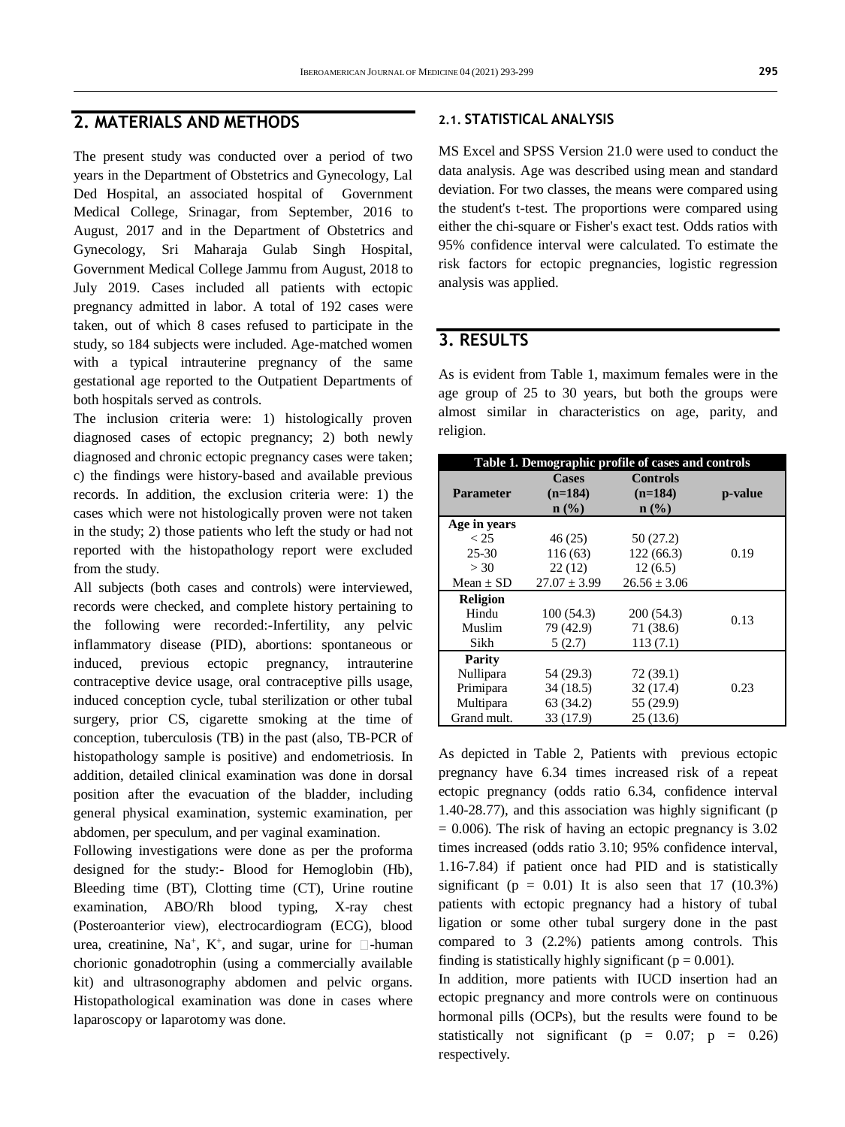#### **2. MATERIALS AND METHODS**

The present study was conducted over a period of two years in the Department of Obstetrics and Gynecology, Lal Ded Hospital, an associated hospital of Government Medical College, Srinagar, from September, 2016 to August, 2017 and in the Department of Obstetrics and Gynecology, Sri Maharaja Gulab Singh Hospital, Government Medical College Jammu from August, 2018 to July 2019. Cases included all patients with ectopic pregnancy admitted in labor. A total of 192 cases were taken, out of which 8 cases refused to participate in the study, so 184 subjects were included. Age-matched women with a typical intrauterine pregnancy of the same gestational age reported to the Outpatient Departments of both hospitals served as controls.

The inclusion criteria were: 1) histologically proven diagnosed cases of ectopic pregnancy; 2) both newly diagnosed and chronic ectopic pregnancy cases were taken; c) the findings were history-based and available previous records. In addition, the exclusion criteria were: 1) the cases which were not histologically proven were not taken in the study; 2) those patients who left the study or had not reported with the histopathology report were excluded from the study.

All subjects (both cases and controls) were interviewed, records were checked, and complete history pertaining to the following were recorded:-Infertility, any pelvic inflammatory disease (PID), abortions: spontaneous or induced, previous ectopic pregnancy, intrauterine contraceptive device usage, oral contraceptive pills usage, induced conception cycle, tubal sterilization or other tubal surgery, prior CS, cigarette smoking at the time of conception, tuberculosis (TB) in the past (also, TB-PCR of histopathology sample is positive) and endometriosis. In addition, detailed clinical examination was done in dorsal position after the evacuation of the bladder, including general physical examination, systemic examination, per abdomen, per speculum, and per vaginal examination.

Following investigations were done as per the proforma designed for the study:- Blood for Hemoglobin (Hb), Bleeding time (BT), Clotting time (CT), Urine routine examination, ABO/Rh blood typing, X-ray chest (Posteroanterior view), electrocardiogram (ECG), blood urea, creatinine, Na<sup>+</sup>, K<sup>+</sup>, and sugar, urine for  $\Box$ -human chorionic gonadotrophin (using a commercially available kit) and ultrasonography abdomen and pelvic organs. Histopathological examination was done in cases where laparoscopy or laparotomy was done.

#### **2.1. STATISTICAL ANALYSIS**

MS Excel and SPSS Version 21.0 were used to conduct the data analysis. Age was described using mean and standard deviation. For two classes, the means were compared using the student's t-test. The proportions were compared using either the chi-square or Fisher's exact test. Odds ratios with 95% confidence interval were calculated. To estimate the risk factors for ectopic pregnancies, logistic regression analysis was applied.

#### **3. RESULTS**

As is evident from Table 1, maximum females were in the age group of 25 to 30 years, but both the groups were almost similar in characteristics on age, parity, and religion.

| Table 1. Demographic profile of cases and controls |                                      |                                      |         |  |  |  |
|----------------------------------------------------|--------------------------------------|--------------------------------------|---------|--|--|--|
| <b>Parameter</b>                                   | <b>Cases</b><br>$(n=184)$<br>$n$ (%) | <b>Controls</b><br>$(n=184)$<br>n(%) | p-value |  |  |  |
| Age in years                                       |                                      |                                      |         |  |  |  |
| < 25                                               | 46(25)                               | 50(27.2)                             |         |  |  |  |
| $25 - 30$                                          | 116(63)                              | 122(66.3)                            | 0.19    |  |  |  |
| > 30                                               | 22(12)                               | 12(6.5)                              |         |  |  |  |
| Mean $\pm$ SD                                      | $27.07 \pm 3.99$                     | $26.56 \pm 3.06$                     |         |  |  |  |
| <b>Religion</b>                                    |                                      |                                      |         |  |  |  |
| Hindu                                              | 100(54.3)                            | 200 (54.3)                           |         |  |  |  |
| Muslim                                             | 79 (42.9)                            | 71 (38.6)                            | 0.13    |  |  |  |
| Sikh                                               | 5(2.7)                               | 113(7.1)                             |         |  |  |  |
| Parity                                             |                                      |                                      |         |  |  |  |
| Nullipara                                          | 54 (29.3)                            | 72(39.1)                             |         |  |  |  |
| Primipara                                          | 34(18.5)                             | 32(17.4)                             | 0.23    |  |  |  |
| Multipara                                          | 63 (34.2)                            | 55 (29.9)                            |         |  |  |  |
| Grand mult.                                        | 33 (17.9)                            | 25(13.6)                             |         |  |  |  |

As depicted in Table 2, Patients with previous ectopic pregnancy have 6.34 times increased risk of a repeat ectopic pregnancy (odds ratio 6.34, confidence interval 1.40-28.77), and this association was highly significant (p  $= 0.006$ ). The risk of having an ectopic pregnancy is 3.02 times increased (odds ratio 3.10; 95% confidence interval, 1.16-7.84) if patient once had PID and is statistically significant ( $p = 0.01$ ) It is also seen that 17 (10.3%) patients with ectopic pregnancy had a history of tubal ligation or some other tubal surgery done in the past compared to 3 (2.2%) patients among controls. This finding is statistically highly significant ( $p = 0.001$ ).

In addition, more patients with IUCD insertion had an ectopic pregnancy and more controls were on continuous hormonal pills (OCPs), but the results were found to be statistically not significant ( $p = 0.07$ ;  $p = 0.26$ ) respectively.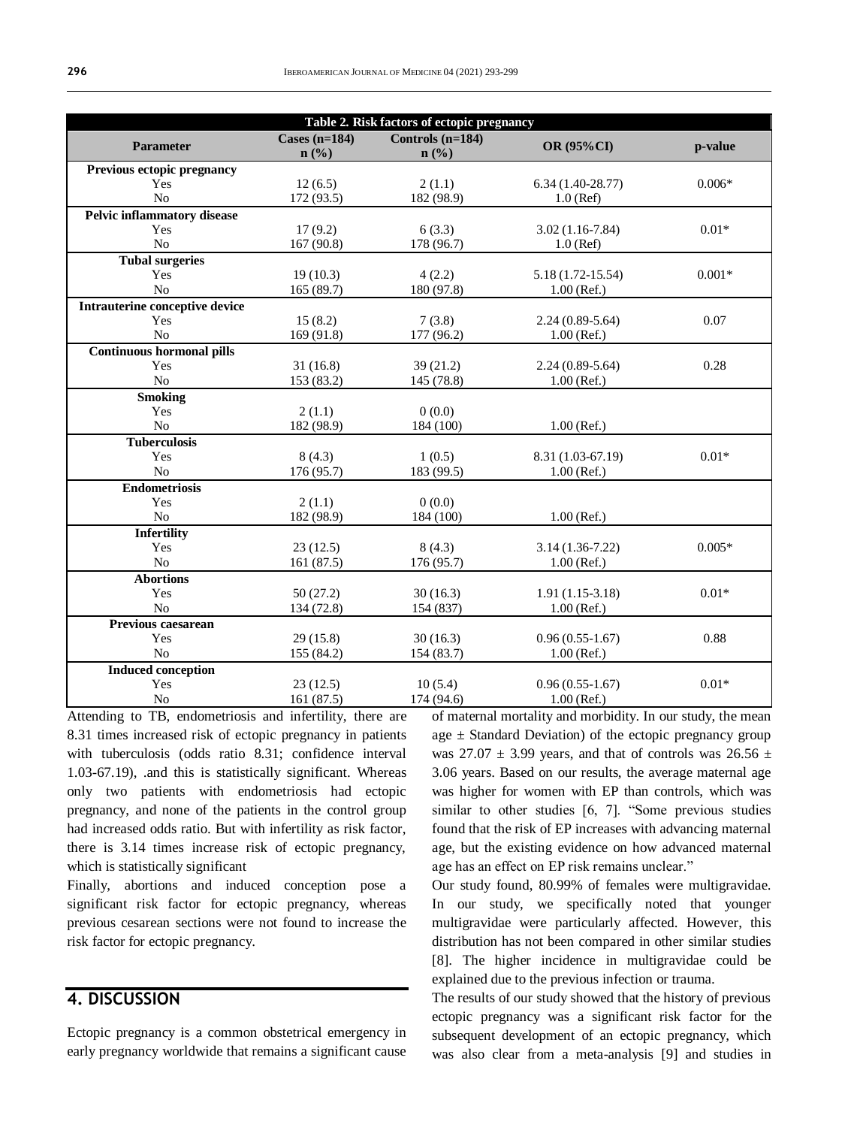| Table 2. Risk factors of ectopic pregnancy |                            |                          |                     |          |  |  |  |
|--------------------------------------------|----------------------------|--------------------------|---------------------|----------|--|--|--|
| <b>Parameter</b>                           | Cases $(n=184)$<br>$n$ (%) | Controls (n=184)<br>n(%) | OR (95%CI)          | p-value  |  |  |  |
| Previous ectopic pregnancy                 |                            |                          |                     |          |  |  |  |
| Yes                                        | 12(6.5)                    | 2(1.1)                   | $6.34(1.40-28.77)$  | $0.006*$ |  |  |  |
| N <sub>o</sub>                             | 172 (93.5)                 | 182 (98.9)               | $1.0$ (Ref)         |          |  |  |  |
| <b>Pelvic inflammatory disease</b>         |                            |                          |                     |          |  |  |  |
| Yes                                        | 17(9.2)                    | 6(3.3)                   | $3.02(1.16-7.84)$   | $0.01*$  |  |  |  |
| $\rm No$                                   | 167 (90.8)                 | 178 (96.7)               | $1.0$ (Ref)         |          |  |  |  |
| <b>Tubal surgeries</b>                     |                            |                          |                     |          |  |  |  |
| Yes                                        | 19(10.3)                   | 4(2.2)                   | 5.18 (1.72-15.54)   | $0.001*$ |  |  |  |
| No                                         | 165 (89.7)                 | 180 (97.8)               | $1.00$ (Ref.)       |          |  |  |  |
| Intrauterine conceptive device             |                            |                          |                     |          |  |  |  |
| Yes                                        | 15(8.2)                    | 7(3.8)                   | $2.24(0.89-5.64)$   | 0.07     |  |  |  |
| N <sub>o</sub>                             | 169 (91.8)                 | 177 (96.2)               | $1.00$ (Ref.)       |          |  |  |  |
| <b>Continuous hormonal pills</b>           |                            |                          |                     |          |  |  |  |
| Yes                                        | 31(16.8)                   | 39(21.2)                 | $2.24(0.89-5.64)$   | 0.28     |  |  |  |
| No                                         | 153 (83.2)                 | 145 (78.8)               | $1.00$ (Ref.)       |          |  |  |  |
| <b>Smoking</b>                             |                            |                          |                     |          |  |  |  |
| Yes                                        | 2(1.1)                     | 0(0.0)                   |                     |          |  |  |  |
| No                                         | 182 (98.9)                 | 184 (100)                | $1.00$ (Ref.)       |          |  |  |  |
| <b>Tuberculosis</b>                        |                            |                          |                     |          |  |  |  |
| Yes                                        | 8(4.3)                     | 1(0.5)                   | 8.31 (1.03-67.19)   | $0.01*$  |  |  |  |
| No                                         | 176 (95.7)                 | 183 (99.5)               | $1.00$ (Ref.)       |          |  |  |  |
| <b>Endometriosis</b>                       |                            |                          |                     |          |  |  |  |
| Yes                                        | 2(1.1)                     | 0(0.0)                   |                     |          |  |  |  |
| No                                         | 182 (98.9)                 | 184 (100)                | $1.00$ (Ref.)       |          |  |  |  |
| <b>Infertility</b>                         |                            |                          |                     |          |  |  |  |
| Yes                                        | 23(12.5)                   | 8(4.3)                   | $3.14(1.36 - 7.22)$ | $0.005*$ |  |  |  |
| No                                         | 161 (87.5)                 | 176 (95.7)               | $1.00$ (Ref.)       |          |  |  |  |
| <b>Abortions</b>                           |                            |                          |                     |          |  |  |  |
| Yes                                        | 50(27.2)                   | 30(16.3)                 | $1.91(1.15-3.18)$   | $0.01*$  |  |  |  |
| N <sub>o</sub>                             | 134 (72.8)                 | 154 (837)                | $1.00$ (Ref.)       |          |  |  |  |
| Previous caesarean                         |                            |                          |                     |          |  |  |  |
| Yes                                        | 29 (15.8)                  | 30(16.3)                 | $0.96(0.55-1.67)$   | 0.88     |  |  |  |
| No                                         | 155 (84.2)                 | 154 (83.7)               | $1.00$ (Ref.)       |          |  |  |  |
| <b>Induced conception</b>                  |                            |                          |                     |          |  |  |  |
| Yes                                        | 23(12.5)                   | 10(5.4)                  | $0.96(0.55-1.67)$   | $0.01*$  |  |  |  |
| N <sub>o</sub>                             | 161 (87.5)                 | 174 (94.6)               | $1.00$ (Ref.)       |          |  |  |  |

Attending to TB, endometriosis and infertility, there are 8.31 times increased risk of ectopic pregnancy in patients with tuberculosis (odds ratio 8.31; confidence interval 1.03-67.19), .and this is statistically significant. Whereas only two patients with endometriosis had ectopic pregnancy, and none of the patients in the control group had increased odds ratio. But with infertility as risk factor, there is 3.14 times increase risk of ectopic pregnancy, which is statistically significant

Finally, abortions and induced conception pose a significant risk factor for ectopic pregnancy, whereas previous cesarean sections were not found to increase the risk factor for ectopic pregnancy.

#### **4. DISCUSSION**

Ectopic pregnancy is a common obstetrical emergency in early pregnancy worldwide that remains a significant cause

of maternal mortality and morbidity. In our study, the mean age  $\pm$  Standard Deviation) of the ectopic pregnancy group was 27.07  $\pm$  3.99 years, and that of controls was 26.56  $\pm$ 3.06 years. Based on our results, the average maternal age was higher for women with EP than controls, which was similar to other studies [6, 7]. "Some previous studies found that the risk of EP increases with advancing maternal age, but the existing evidence on how advanced maternal age has an effect on EP risk remains unclear."

Our study found, 80.99% of females were multigravidae. In our study, we specifically noted that younger multigravidae were particularly affected. However, this distribution has not been compared in other similar studies [8]. The higher incidence in multigravidae could be explained due to the previous infection or trauma.

The results of our study showed that the history of previous ectopic pregnancy was a significant risk factor for the subsequent development of an ectopic pregnancy, which was also clear from a meta-analysis [9] and studies in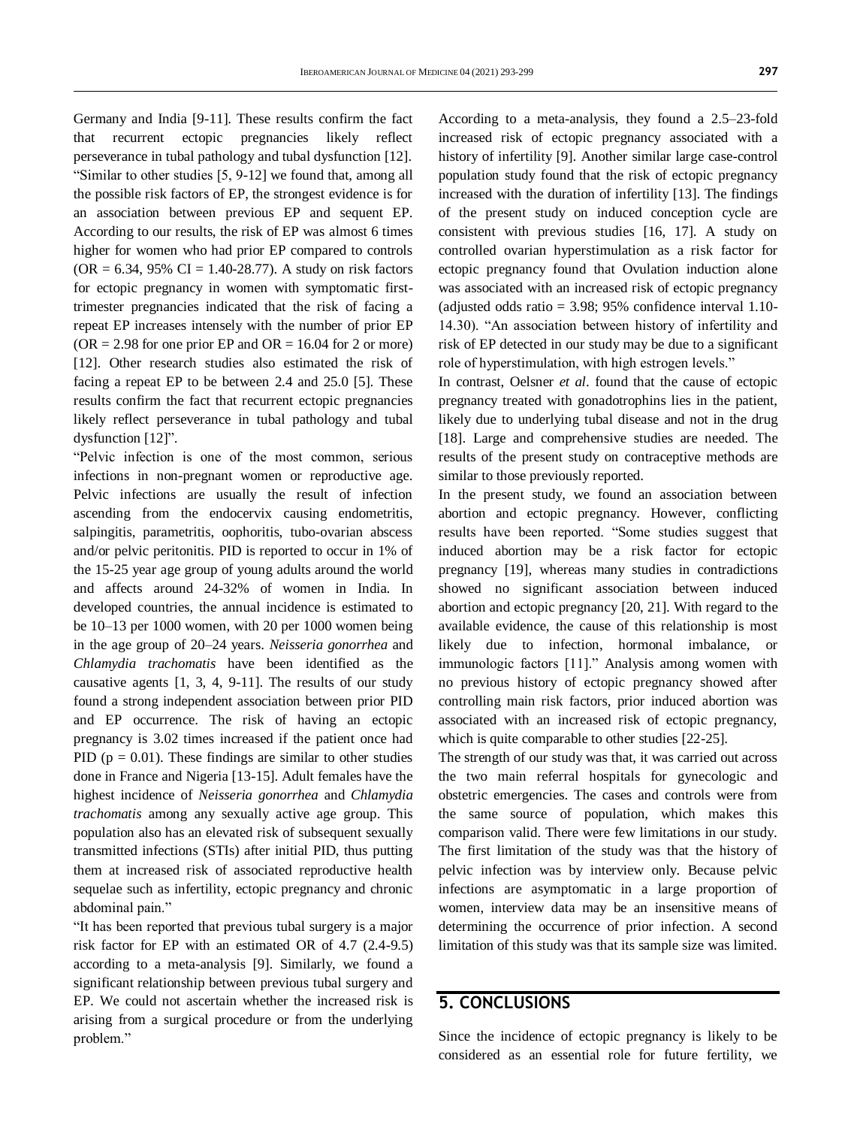Germany and India [9-11]. These results confirm the fact that recurrent ectopic pregnancies likely reflect perseverance in tubal pathology and tubal dysfunction [12]. "Similar to other studies [5, 9-12] we found that, among all the possible risk factors of EP, the strongest evidence is for an association between previous EP and sequent EP. According to our results, the risk of EP was almost 6 times higher for women who had prior EP compared to controls  $(OR = 6.34, 95\% \text{ CI} = 1.40-28.77)$ . A study on risk factors for ectopic pregnancy in women with symptomatic firsttrimester pregnancies indicated that the risk of facing a repeat EP increases intensely with the number of prior EP  $(OR = 2.98$  for one prior EP and  $OR = 16.04$  for 2 or more) [12]. Other research studies also estimated the risk of facing a repeat EP to be between 2.4 and 25.0 [5]. These results confirm the fact that recurrent ectopic pregnancies likely reflect perseverance in tubal pathology and tubal dysfunction [12]".

"Pelvic infection is one of the most common, serious infections in non-pregnant women or reproductive age. Pelvic infections are usually the result of infection ascending from the endocervix causing endometritis, salpingitis, parametritis, oophoritis, tubo-ovarian abscess and/or pelvic peritonitis. PID is reported to occur in 1% of the 15-25 year age group of young adults around the world and affects around 24-32% of women in India. In developed countries, the annual incidence is estimated to be 10–13 per 1000 women, with 20 per 1000 women being in the age group of 20–24 years. *Neisseria gonorrhea* and *Chlamydia trachomatis* have been identified as the causative agents [1, 3, 4, 9-11]. The results of our study found a strong independent association between prior PID and EP occurrence. The risk of having an ectopic pregnancy is 3.02 times increased if the patient once had PID ( $p = 0.01$ ). These findings are similar to other studies done in France and Nigeria [13-15]. Adult females have the highest incidence of *Neisseria gonorrhea* and *Chlamydia trachomatis* among any sexually active age group. This population also has an elevated risk of subsequent sexually transmitted infections (STIs) after initial PID, thus putting them at increased risk of associated reproductive health sequelae such as infertility, ectopic pregnancy and chronic abdominal pain."

"It has been reported that previous tubal surgery is a major risk factor for EP with an estimated OR of 4.7 (2.4-9.5) according to a meta-analysis [9]. Similarly, we found a significant relationship between previous tubal surgery and EP. We could not ascertain whether the increased risk is arising from a surgical procedure or from the underlying problem."

According to a meta-analysis, they found a 2.5–23-fold increased risk of ectopic pregnancy associated with a history of infertility [9]. Another similar large case-control population study found that the risk of ectopic pregnancy increased with the duration of infertility [13]. The findings of the present study on induced conception cycle are consistent with previous studies [16, 17]. A study on controlled ovarian hyperstimulation as a risk factor for ectopic pregnancy found that Ovulation induction alone was associated with an increased risk of ectopic pregnancy (adjusted odds ratio = 3.98; 95% confidence interval 1.10- 14.30). "An association between history of infertility and risk of EP detected in our study may be due to a significant role of hyperstimulation, with high estrogen levels."

In contrast, Oelsner *et al*. found that the cause of ectopic pregnancy treated with gonadotrophins lies in the patient, likely due to underlying tubal disease and not in the drug [18]. Large and comprehensive studies are needed. The results of the present study on contraceptive methods are similar to those previously reported.

In the present study, we found an association between abortion and ectopic pregnancy. However, conflicting results have been reported. "Some studies suggest that induced abortion may be a risk factor for ectopic pregnancy [19], whereas many studies in contradictions showed no significant association between induced abortion and ectopic pregnancy [20, 21]. With regard to the available evidence, the cause of this relationship is most likely due to infection, hormonal imbalance, or immunologic factors [11]." Analysis among women with no previous history of ectopic pregnancy showed after controlling main risk factors, prior induced abortion was associated with an increased risk of ectopic pregnancy, which is quite comparable to other studies [22-25].

The strength of our study was that, it was carried out across the two main referral hospitals for gynecologic and obstetric emergencies. The cases and controls were from the same source of population, which makes this comparison valid. There were few limitations in our study. The first limitation of the study was that the history of pelvic infection was by interview only. Because pelvic infections are asymptomatic in a large proportion of women, interview data may be an insensitive means of determining the occurrence of prior infection. A second limitation of this study was that its sample size was limited.

#### **5. CONCLUSIONS**

Since the incidence of ectopic pregnancy is likely to be considered as an essential role for future fertility, we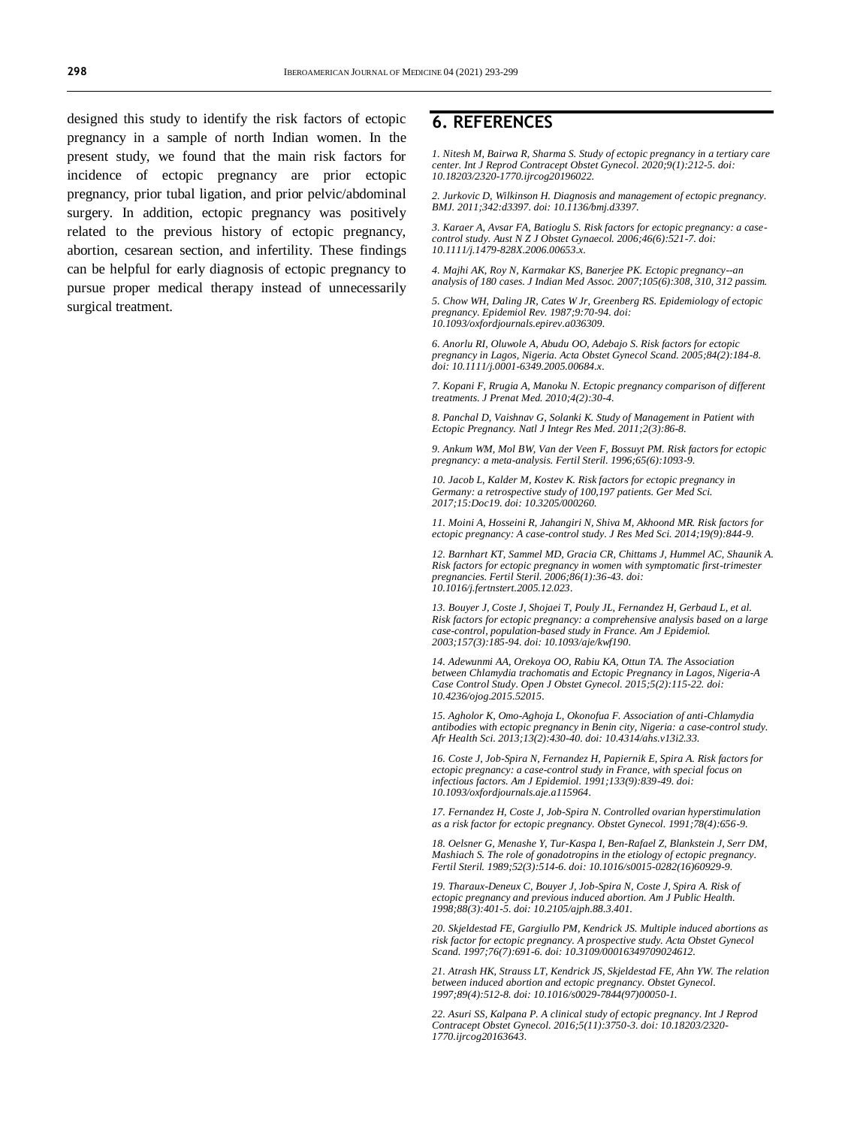designed this study to identify the risk factors of ectopic pregnancy in a sample of north Indian women. In the present study, we found that the main risk factors for incidence of ectopic pregnancy are prior ectopic pregnancy, prior tubal ligation, and prior pelvic/abdominal surgery. In addition, ectopic pregnancy was positively related to the previous history of ectopic pregnancy, abortion, cesarean section, and infertility. These findings can be helpful for early diagnosis of ectopic pregnancy to pursue proper medical therapy instead of unnecessarily surgical treatment.

#### **6. REFERENCES**

*1. Nitesh M, Bairwa R, Sharma S. Study of ectopic pregnancy in a tertiary care center. Int J Reprod Contracept Obstet Gynecol. 2020;9(1):212-5. doi: [10.18203/2320-1770.ijrcog20196022.](https://dx.doi.org/10.18203/2320-1770.ijrcog20196022)*

*2. Jurkovic D, Wilkinson H. Diagnosis and management of ectopic pregnancy. BMJ. 2011;342:d3397. doi[: 10.1136/bmj.d3397.](https://doi.org/10.1136/bmj.d3397)*

*3. Karaer A, Avsar FA, Batioglu S. Risk factors for ectopic pregnancy: a casecontrol study. Aust N Z J Obstet Gynaecol. 2006;46(6):521-7. doi: [10.1111/j.1479-828X.2006.00653.x.](https://doi.org/10.1111/j.1479-828x.2006.00653.x)*

*4. Majhi AK, Roy N, Karmakar KS, Banerjee PK. Ectopic pregnancy--an analysis of 180 cases. J Indian Med Assoc. 2007;105(6):308, 310, 312 passim.*

*5. Chow WH, Daling JR, Cates W Jr, Greenberg RS. Epidemiology of ectopic pregnancy. Epidemiol Rev. 1987;9:70-94. doi: [10.1093/oxfordjournals.epirev.a036309.](https://doi.org/10.1093/oxfordjournals.epirev.a036309)*

*6. Anorlu RI, Oluwole A, Abudu OO, Adebajo S. Risk factors for ectopic pregnancy in Lagos, Nigeria. Acta Obstet Gynecol Scand. 2005;84(2):184-8. doi[: 10.1111/j.0001-6349.2005.00684.x.](https://doi.org/10.1111/j.0001-6349.2005.00684.x)*

*7. Kopani F, Rrugia A, Manoku N. Ectopic pregnancy comparison of different treatments. J Prenat Med. 2010;4(2):30-4.*

*8. Panchal D, Vaishnav G, Solanki K. Study of Management in Patient with Ectopic Pregnancy. Natl J Integr Res Med. 2011;2(3):86-8.*

*9. Ankum WM, Mol BW, Van der Veen F, Bossuyt PM. Risk factors for ectopic pregnancy: a meta-analysis. Fertil Steril. 1996;65(6):1093-9.*

*10. Jacob L, Kalder M, Kostev K. Risk factors for ectopic pregnancy in Germany: a retrospective study of 100,197 patients. Ger Med Sci. 2017;15:Doc19. doi[: 10.3205/000260.](https://doi.org/10.3205/000260)*

*11. Moini A, Hosseini R, Jahangiri N, Shiva M, Akhoond MR. Risk factors for ectopic pregnancy: A case-control study. J Res Med Sci. 2014;19(9):844-9.*

*12. Barnhart KT, Sammel MD, Gracia CR, Chittams J, Hummel AC, Shaunik A. Risk factors for ectopic pregnancy in women with symptomatic first-trimester pregnancies. Fertil Steril. 2006;86(1):36-43. doi: [10.1016/j.fertnstert.2005.12.023.](https://doi.org/10.1016/j.fertnstert.2005.12.023)*

*13. Bouyer J, Coste J, Shojaei T, Pouly JL, Fernandez H, Gerbaud L, et al. Risk factors for ectopic pregnancy: a comprehensive analysis based on a large case-control, population-based study in France. Am J Epidemiol. 2003;157(3):185-94. doi[: 10.1093/aje/kwf190.](https://doi.org/10.1093/aje/kwf190)*

*14. Adewunmi AA, Orekoya OO, Rabiu KA, Ottun TA. The Association between Chlamydia trachomatis and Ectopic Pregnancy in Lagos, Nigeria-A Case Control Study. Open J Obstet Gynecol. 2015;5(2):115-22. doi: [10.4236/ojog.2015.52015.](http://dx.doi.org/10.4236/ojog.2015.52015)*

*15. Agholor K, Omo-Aghoja L, Okonofua F. Association of anti-Chlamydia antibodies with ectopic pregnancy in Benin city, Nigeria: a case-control study. Afr Health Sci. 2013;13(2):430-40. doi[: 10.4314/ahs.v13i2.33.](https://doi.org/10.4314/ahs.v13i2.33)*

*16. Coste J, Job-Spira N, Fernandez H, Papiernik E, Spira A. Risk factors for ectopic pregnancy: a case-control study in France, with special focus on infectious factors. Am J Epidemiol. 1991;133(9):839-49. doi: [10.1093/oxfordjournals.aje.a115964.](https://doi.org/10.1093/oxfordjournals.aje.a115964)*

*17. Fernandez H, Coste J, Job-Spira N. Controlled ovarian hyperstimulation as a risk factor for ectopic pregnancy. Obstet Gynecol. 1991;78(4):656-9.*

*18. Oelsner G, Menashe Y, Tur-Kaspa I, Ben-Rafael Z, Blankstein J, Serr DM, Mashiach S. The role of gonadotropins in the etiology of ectopic pregnancy. Fertil Steril. 1989;52(3):514-6. doi[: 10.1016/s0015-0282\(16\)60929-9.](https://doi.org/10.1016/s0015-0282(16)60929-9)*

*19. Tharaux-Deneux C, Bouyer J, Job-Spira N, Coste J, Spira A. Risk of ectopic pregnancy and previous induced abortion. Am J Public Health. 1998;88(3):401-5. doi[: 10.2105/ajph.88.3.401.](https://doi.org/10.2105/ajph.88.3.401)*

*20. Skjeldestad FE, Gargiullo PM, Kendrick JS. Multiple induced abortions as risk factor for ectopic pregnancy. A prospective study. Acta Obstet Gynecol Scand. 1997;76(7):691-6. doi[: 10.3109/00016349709024612.](https://doi.org/10.3109/00016349709024612)*

*21. Atrash HK, Strauss LT, Kendrick JS, Skjeldestad FE, Ahn YW. The relation between induced abortion and ectopic pregnancy. Obstet Gynecol. 1997;89(4):512-8. doi[: 10.1016/s0029-7844\(97\)00050-1.](https://doi.org/10.1016/s0029-7844(97)00050-1)*

*22. Asuri SS, Kalpana P. A clinical study of ectopic pregnancy. Int J Reprod Contracept Obstet Gynecol. 2016;5(11):3750-3. doi[: 10.18203/2320-](https://dx.doi.org/10.18203/2320-1770.ijrcog20163643) [1770.ijrcog20163643.](https://dx.doi.org/10.18203/2320-1770.ijrcog20163643)*